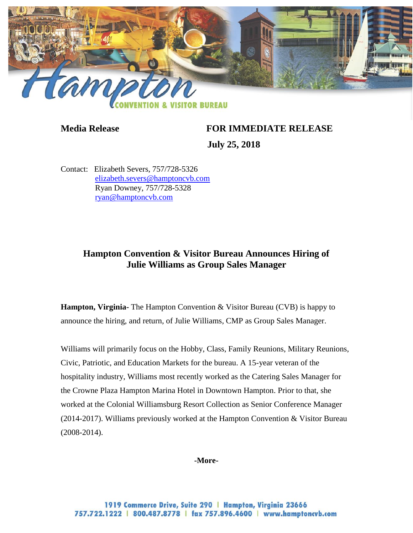

## **Media Release FOR IMMEDIATE RELEASE**

 **July 25, 2018**

Contact: Elizabeth Severs, 757/728-5326 [elizabeth.severs@hamptoncvb.com](mailto:elizabeth.severs@hamptoncvb.com) Ryan Downey, 757/728-5328 [ryan@hamptoncvb.com](mailto:ryan@hamptoncvb.com)

## **Hampton Convention & Visitor Bureau Announces Hiring of Julie Williams as Group Sales Manager**

**Hampton, Virginia-** The Hampton Convention & Visitor Bureau (CVB) is happy to announce the hiring, and return, of Julie Williams, CMP as Group Sales Manager.

Williams will primarily focus on the Hobby, Class, Family Reunions, Military Reunions, Civic, Patriotic, and Education Markets for the bureau. A 15-year veteran of the hospitality industry, Williams most recently worked as the Catering Sales Manager for the Crowne Plaza Hampton Marina Hotel in Downtown Hampton. Prior to that, she worked at the Colonial Williamsburg Resort Collection as Senior Conference Manager (2014-2017). Williams previously worked at the Hampton Convention & Visitor Bureau (2008-2014).

## **-More-**